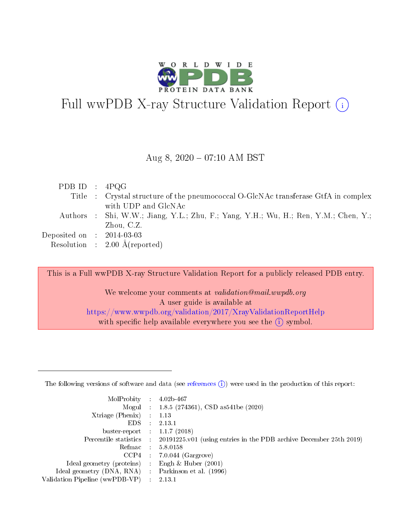

# Full wwPDB X-ray Structure Validation Report  $(i)$

#### Aug 8,  $2020 - 07:10$  AM BST

| PDB ID : $4PQG$             |                                                                                     |
|-----------------------------|-------------------------------------------------------------------------------------|
|                             | Title : Crystal structure of the pneumococcal O-GlcNAc transferase GtfA in complex  |
|                             | with UDP and GlcNAc                                                                 |
|                             | Authors : Shi, W.W.; Jiang, Y.L.; Zhu, F.; Yang, Y.H.; Wu, H.; Ren, Y.M.; Chen, Y.; |
|                             | Zhou, C.Z.                                                                          |
| Deposited on : $2014-03-03$ |                                                                                     |
|                             | Resolution : $2.00 \text{ Å}$ (reported)                                            |
|                             |                                                                                     |

This is a Full wwPDB X-ray Structure Validation Report for a publicly released PDB entry.

We welcome your comments at validation@mail.wwpdb.org A user guide is available at <https://www.wwpdb.org/validation/2017/XrayValidationReportHelp> with specific help available everywhere you see the  $(i)$  symbol.

The following versions of software and data (see [references](https://www.wwpdb.org/validation/2017/XrayValidationReportHelp#references)  $(1)$ ) were used in the production of this report:

| MolProbity                     | -11        | $4.02b - 467$                                                      |
|--------------------------------|------------|--------------------------------------------------------------------|
|                                |            | Mogul : $1.8.5$ (274361), CSD as 541be (2020)                      |
| Xtriage (Phenix)               |            | 1.13                                                               |
| EDS.                           |            | 2.13.1                                                             |
| buster-report : $1.1.7$ (2018) |            |                                                                    |
| Percentile statistics :        |            | 20191225.v01 (using entries in the PDB archive December 25th 2019) |
| Refmac                         | $\sim 100$ | 5.8.0158                                                           |
| CCP4                           |            | $7.0.044$ (Gargrove)                                               |
| Ideal geometry (proteins) :    |            | Engh $\&$ Huber (2001)                                             |
| Ideal geometry (DNA, RNA) :    |            | Parkinson et al. (1996)                                            |
| Validation Pipeline (wwPDB-VP) |            | 2.13.1                                                             |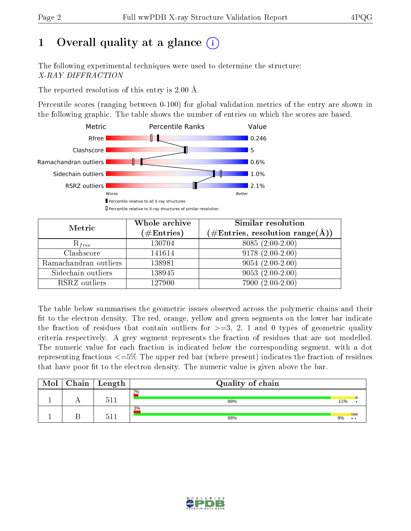# 1 [O](https://www.wwpdb.org/validation/2017/XrayValidationReportHelp#overall_quality)verall quality at a glance  $(i)$

The following experimental techniques were used to determine the structure: X-RAY DIFFRACTION

The reported resolution of this entry is 2.00 Å.

Percentile scores (ranging between 0-100) for global validation metrics of the entry are shown in the following graphic. The table shows the number of entries on which the scores are based.



| Metric                | Whole archive<br>$(\#\text{Entries})$ | <b>Similar resolution</b><br>$(\#\text{Entries}, \text{resolution range}(\text{\AA}))$ |
|-----------------------|---------------------------------------|----------------------------------------------------------------------------------------|
| $R_{free}$            | 130704                                | 8085 (2.00-2.00)                                                                       |
| Clashscore            | 141614                                | $9178(2.00-2.00)$                                                                      |
| Ramachandran outliers | 138981                                | $9054(2.00-2.00)$                                                                      |
| Sidechain outliers    | 138945                                | $9053(2.00-2.00)$                                                                      |
| RSRZ outliers         | 127900                                | $7900(2.00-2.00)$                                                                      |

The table below summarises the geometric issues observed across the polymeric chains and their fit to the electron density. The red, orange, yellow and green segments on the lower bar indicate the fraction of residues that contain outliers for  $>=3, 2, 1$  and 0 types of geometric quality criteria respectively. A grey segment represents the fraction of residues that are not modelled. The numeric value for each fraction is indicated below the corresponding segment, with a dot representing fractions  $\epsilon=5\%$  The upper red bar (where present) indicates the fraction of residues that have poor fit to the electron density. The numeric value is given above the bar.

| Mol | Chain | Length | Quality of chain |     |                 |
|-----|-------|--------|------------------|-----|-----------------|
|     |       | 51     | 2%<br>88%        | 11% |                 |
|     |       | 51     | 3%<br>88%        | 9%  | $\cdot$ $\cdot$ |

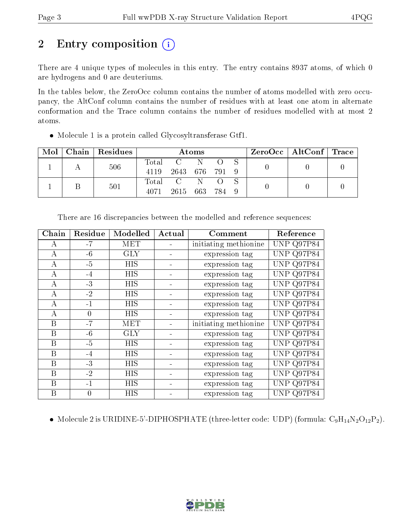# 2 Entry composition (i)

There are 4 unique types of molecules in this entry. The entry contains 8937 atoms, of which 0 are hydrogens and 0 are deuteriums.

In the tables below, the ZeroOcc column contains the number of atoms modelled with zero occupancy, the AltConf column contains the number of residues with at least one atom in alternate conformation and the Trace column contains the number of residues modelled with at most 2 atoms.

| • Molecule 1 is a protein called Glycosyltransferase Gtf1. |  |
|------------------------------------------------------------|--|
|------------------------------------------------------------|--|

| Mol |  | Chain Residues | Atoms |                 |         |  |  |  | $\text{ZeroOcc} \mid \text{AltConf} \mid \text{Trace}$ |  |
|-----|--|----------------|-------|-----------------|---------|--|--|--|--------------------------------------------------------|--|
|     |  | 506            | Total | $\sim$ C $\sim$ |         |  |  |  |                                                        |  |
|     |  |                | 4119  | 2643            | 676 791 |  |  |  |                                                        |  |
|     |  | 501            |       | Total C         | N.      |  |  |  |                                                        |  |
|     |  |                | 4071  | 2615            | 663 784 |  |  |  |                                                        |  |

| Chain | Residue  | Modelled   | Actual | Comment               |                   |
|-------|----------|------------|--------|-----------------------|-------------------|
| A     | $-7$     | <b>MET</b> |        | initiating methionine | <b>UNP Q97P84</b> |
| A     | $-6$     | <b>GLY</b> |        | expression tag        | <b>UNP Q97P84</b> |
| А     | $-5$     | <b>HIS</b> |        | expression tag        | <b>UNP Q97P84</b> |
| А     | $-4$     | HIS        |        | expression tag        | UNP Q97P84        |
| А     | $-3$     | <b>HIS</b> |        | expression tag        | UNP Q97P84        |
| А     | $-2$     | <b>HIS</b> |        | expression tag        | <b>UNP Q97P84</b> |
| А     | $-1$     | <b>HIS</b> |        | expression tag        | <b>UNP Q97P84</b> |
| А     | 0        | <b>HIS</b> |        | expression tag        | <b>UNP Q97P84</b> |
| B     | $-7$     | <b>MET</b> |        | initiating methionine | UNP Q97P84        |
| B     | $-6$     | <b>GLY</b> |        | expression tag        | <b>UNP Q97P84</b> |
| B     | $-5$     | <b>HIS</b> |        | expression tag        | <b>UNP Q97P84</b> |
| B     | $-4$     | <b>HIS</b> |        | expression tag        | <b>UNP Q97P84</b> |
| B     | $-3$     | HIS        |        | expression tag        | UNP Q97P84        |
| B     | $-2$     | <b>HIS</b> |        | expression tag        | UNP Q97P84        |
| B     | $-1$     | <b>HIS</b> |        | expression tag        | Q97P84<br>UNP -   |
| B     | $\theta$ | <b>HIS</b> |        | expression tag        | UNP Q97P84        |

There are 16 discrepancies between the modelled and reference sequences:

• Molecule 2 is URIDINE-5'-DIPHOSPHATE (three-letter code: UDP) (formula:  $C_9H_{14}N_2O_{12}P_2$ ).

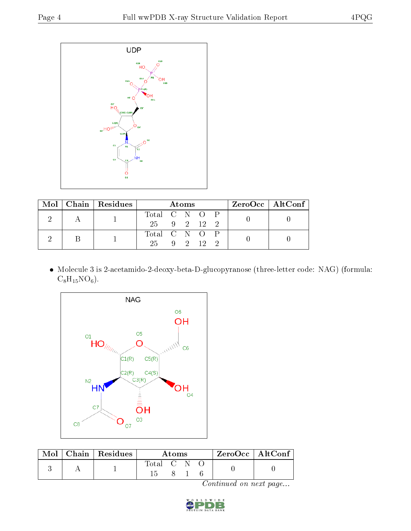

|  |  | Mol   Chain   Residues | <b>Atoms</b>  |  |  |  |  | $\rm ZeroOcc \mid AltConf$ |  |
|--|--|------------------------|---------------|--|--|--|--|----------------------------|--|
|  |  |                        | Total C N O P |  |  |  |  |                            |  |
|  |  | 25 9 2 12 2            |               |  |  |  |  |                            |  |
|  |  |                        | Total C N O P |  |  |  |  |                            |  |
|  |  |                        | 25 9 2 12 2   |  |  |  |  |                            |  |

 Molecule 3 is 2-acetamido-2-deoxy-beta-D-glucopyranose (three-letter code: NAG) (formula:  $C_8H_{15}NO_6$ .



| Mol | $\mid$ Chain $\mid$ Residues | A toms      |  |  | $^+$ ZeroOcc $\, \mid \, \text{AltConf} \, \, \cdot$ |  |
|-----|------------------------------|-------------|--|--|------------------------------------------------------|--|
|     |                              | Total C N O |  |  |                                                      |  |

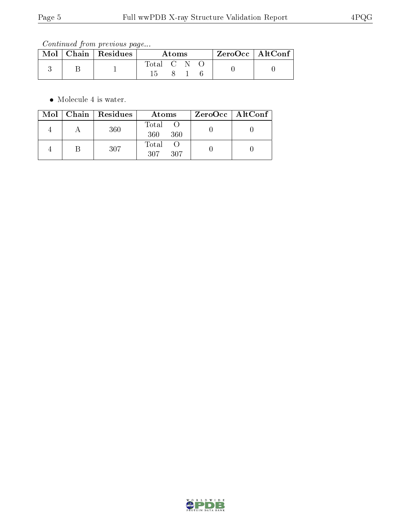Continued from previous page...

|  | Mol   Chain   Residues | Atoms     |  |  | ZeroOcc   AltConf |  |
|--|------------------------|-----------|--|--|-------------------|--|
|  |                        | Total C N |  |  |                   |  |
|  |                        |           |  |  |                   |  |

Molecule 4 is water.

|  | $Mol$   Chain   Residues | Atoms               | ZeroOcc   AltConf |  |
|--|--------------------------|---------------------|-------------------|--|
|  | 360                      | Total<br>360<br>360 |                   |  |
|  | 307                      | Total<br>307<br>307 |                   |  |

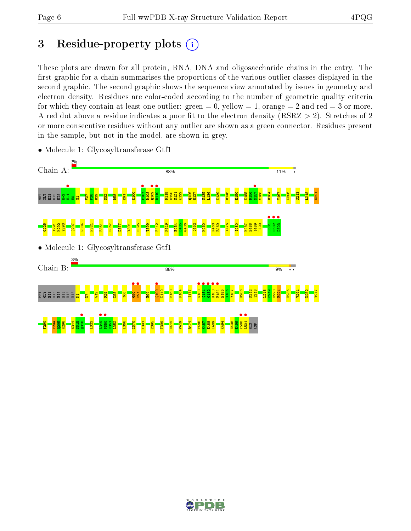# 3 Residue-property plots  $(i)$

These plots are drawn for all protein, RNA, DNA and oligosaccharide chains in the entry. The first graphic for a chain summarises the proportions of the various outlier classes displayed in the second graphic. The second graphic shows the sequence view annotated by issues in geometry and electron density. Residues are color-coded according to the number of geometric quality criteria for which they contain at least one outlier: green  $= 0$ , yellow  $= 1$ , orange  $= 2$  and red  $= 3$  or more. A red dot above a residue indicates a poor fit to the electron density ( $RSRZ > 2$ ). Stretches of 2 or more consecutive residues without any outlier are shown as a green connector. Residues present in the sample, but not in the model, are shown in grey.



• Molecule 1: Glycosyltransferase Gtf1

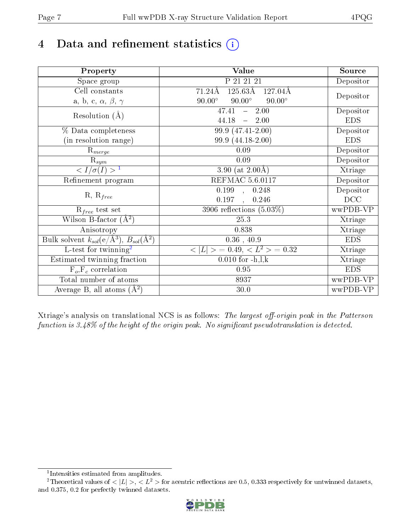# 4 Data and refinement statistics  $(i)$

| Property                                                         | <b>Value</b>                                             | Source     |
|------------------------------------------------------------------|----------------------------------------------------------|------------|
| Space group                                                      | P 21 21 21                                               | Depositor  |
| Cell constants                                                   | $125.63\overline{\rm A}$<br>71.24Å<br>$127.04\text{\AA}$ |            |
| a, b, c, $\alpha$ , $\beta$ , $\gamma$                           | $90.00^\circ$<br>$90.00^\circ$<br>$90.00^\circ$          | Depositor  |
| Resolution $(A)$                                                 | 47.41<br>2.00<br>$\frac{1}{2}$                           | Depositor  |
|                                                                  | 44.18<br>2.00<br>$\frac{1}{2}$ and $\frac{1}{2}$         | <b>EDS</b> |
| % Data completeness                                              | 99.9 (47.41-2.00)                                        | Depositor  |
| (in resolution range)                                            | 99.9 (44.18-2.00)                                        | <b>EDS</b> |
| $R_{merge}$                                                      | 0.09                                                     | Depositor  |
| $\mathrm{R}_{sym}$                                               | 0.09                                                     | Depositor  |
| $\langle I/\sigma(I) \rangle^{-1}$                               | 3.90 (at $2.00\text{\AA}$ )                              | Xtriage    |
| Refinement program                                               | <b>REFMAC 5.6.0117</b>                                   | Depositor  |
|                                                                  | $\overline{0.199}$ ,<br>0.248                            | Depositor  |
| $R, R_{free}$                                                    | 0.197<br>0.246                                           | DCC        |
| $R_{free}$ test set                                              | $3906$ reflections $(5.03\%)$                            | wwPDB-VP   |
| Wilson B-factor $(A^2)$                                          | 25.3                                                     | Xtriage    |
| Anisotropy                                                       | 0.838                                                    | Xtriage    |
| Bulk solvent $k_{sol}(\text{e}/\text{A}^3), B_{sol}(\text{A}^2)$ | $0.36$ , $40.9$                                          | <b>EDS</b> |
| $\overline{L-test for}$ twinning <sup>2</sup>                    | $< L >$ = 0.49, $< L2$ = 0.32                            | Xtriage    |
| Estimated twinning fraction                                      | $0.010$ for $-h, l, k$                                   | Xtriage    |
| $F_o, F_c$ correlation                                           | 0.95                                                     | <b>EDS</b> |
| Total number of atoms                                            | 8937                                                     | wwPDB-VP   |
| Average B, all atoms $(A^2)$                                     | 30.0                                                     | wwPDB-VP   |

Xtriage's analysis on translational NCS is as follows: The largest off-origin peak in the Patterson function is  $3.48\%$  of the height of the origin peak. No significant pseudotranslation is detected.

<sup>&</sup>lt;sup>2</sup>Theoretical values of  $\langle |L| \rangle$ ,  $\langle L^2 \rangle$  for acentric reflections are 0.5, 0.333 respectively for untwinned datasets, and 0.375, 0.2 for perfectly twinned datasets.



<span id="page-6-1"></span><span id="page-6-0"></span><sup>1</sup> Intensities estimated from amplitudes.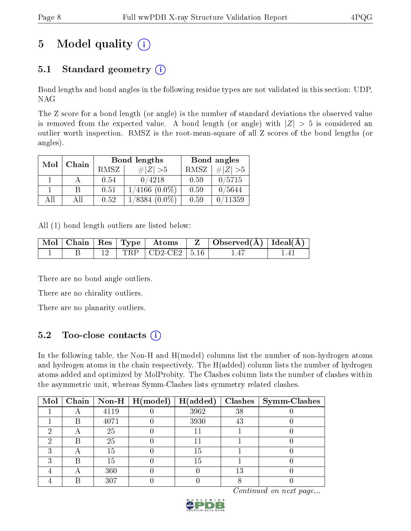# 5 Model quality  $(i)$

### 5.1 Standard geometry  $(i)$

Bond lengths and bond angles in the following residue types are not validated in this section: UDP, NAG

The Z score for a bond length (or angle) is the number of standard deviations the observed value is removed from the expected value. A bond length (or angle) with  $|Z| > 5$  is considered an outlier worth inspection. RMSZ is the root-mean-square of all Z scores of the bond lengths (or angles).

| Mol | Chain |      | <b>Bond lengths</b> | Bond angles |           |
|-----|-------|------|---------------------|-------------|-----------|
|     |       | RMSZ | # $ Z >5$           | RMSZ        | # $ Z >5$ |
|     |       | 0.54 | 0/4218              | 0.59        | 0/5715    |
|     | В     | 0.51 | $1/4166$ $(0.0\%)$  | 0.59        | 0/5644    |
| AH  | Αll   | 0.52 | $1/8384$ $(0.0\%)$  | 0.59        | 0/11359   |

All (1) bond length outliers are listed below:

|  |  |                             | $\begin{array}{ c c c c c c c c c }\hline \text{Mol} & \text{Chain} & \text{Res} & \text{Type} & \text{Atoms} & \text{Z} & \text{Observed(A)} & \text{Ideal(A)} \\\hline \end{array}$ |  |
|--|--|-----------------------------|---------------------------------------------------------------------------------------------------------------------------------------------------------------------------------------|--|
|  |  | $12$   TRP   CD2-CE2   5.16 |                                                                                                                                                                                       |  |

There are no bond angle outliers.

There are no chirality outliers.

There are no planarity outliers.

### 5.2 Too-close contacts (i)

In the following table, the Non-H and H(model) columns list the number of non-hydrogen atoms and hydrogen atoms in the chain respectively. The H(added) column lists the number of hydrogen atoms added and optimized by MolProbity. The Clashes column lists the number of clashes within the asymmetric unit, whereas Symm-Clashes lists symmetry related clashes.

| Mol |   |      | $\mid$ Chain $\mid$ Non-H $\mid$ H(model) | H(added) |    | $Clashes$   Symm-Clashes |
|-----|---|------|-------------------------------------------|----------|----|--------------------------|
|     |   | 4119 |                                           | 3962     | 38 |                          |
|     | R | 4071 |                                           | 3930     | 43 |                          |
|     | A | 25   |                                           |          |    |                          |
| 6)  | R | 25   |                                           |          |    |                          |
| ົ   |   | 15   |                                           | 15       |    |                          |
| ച   | B | 15   |                                           | 15       |    |                          |
|     | Α | 360  |                                           |          | 13 |                          |
|     |   | 307  |                                           |          |    |                          |

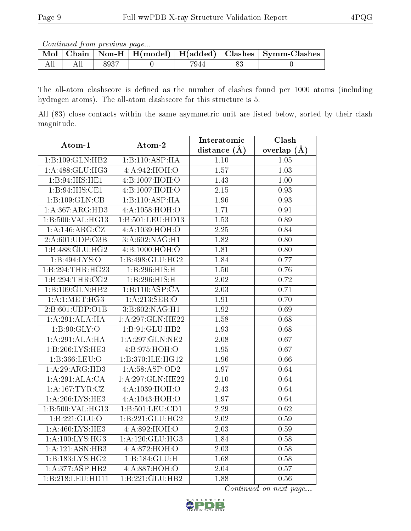Continued from previous page...

|  |       |      | Mol   Chain   Non-H   H(model)   H(added)   Clashes   Symm-Clashes |
|--|-------|------|--------------------------------------------------------------------|
|  | -8937 | 7944 |                                                                    |

The all-atom clashscore is defined as the number of clashes found per 1000 atoms (including hydrogen atoms). The all-atom clashscore for this structure is 5.

All (83) close contacts within the same asymmetric unit are listed below, sorted by their clash magnitude.

| Atom-1             | Atom-2            | Interatomic       | Clash             |
|--------------------|-------------------|-------------------|-------------------|
|                    |                   | distance $(A)$    | overlap $(A)$     |
| 1:B:109:GLN:HB2    | 1:B:110:ASP:HA    | 1.10              | 1.05              |
| 1:A:488:GLU:HG3    | 4:A:942:HOH:O     | 1.57              | 1.03              |
| 1:B:94:HIS:HE1     | 4:B:1007:HOH:O    | 1.43              | $1.00\,$          |
| 1:B:94:HIS:CE1     | 4:B:1007:HOH:O    | $\overline{2.15}$ | $\overline{0.93}$ |
| 1:B:109:GLN:CB     | 1:B:110:ASP:HA    | 1.96              | 0.93              |
| 1:A:367:ARG:HD3    | 4:A:1058:HOH:O    | 1.71              | 0.91              |
| 1:B:500:VAL:HG13   | 1:B:501:LEU:HD13  | $\overline{1.53}$ | 0.89              |
| 1: A:146:ARG:CZ    | 4:A:1039:HOH:O    | 2.25              | 0.84              |
| 2:A:601:UDP:O3B    | 3:A:602:NAG:H1    | 1.82              | $\overline{0.80}$ |
| 1:B:488:GLU:HG2    | 4:B:1000:HOH:O    | 1.81              | 0.80              |
| 1:B:494:LYS:O      | 1:B:498:GLU:HG2   | 1.84              | 0.77              |
| 1:B:294:THR:HG23   | 1:B:296:HIS:H     | 1.50              | 0.76              |
| 1:B:294:THR:CG2    | 1:B:296:HIS:H     | 2.02              | 0.72              |
| 1:B:109:GLN:HB2    | 1:B:110:ASP:CA    | $\overline{2.03}$ | 0.71              |
| 1:A:1:MET:HG3      | 1: A:213: SER: O  | 1.91              | 0.70              |
| 2:B:601:UDP:O1B    | 3: B:602: NAG: H1 | 1.92              | 0.69              |
| 1:A:291:ALA:HA     | 1:A:297:GLN:HE22  | 1.58              | 0.68              |
| 1: B:90: GLY:O     | 1:B:91:GLU:HB2    | 1.93              | 0.68              |
| 1:A:291:ALA:HA     | 1:A:297:GLN:NE2   | 2.08              | 0.67              |
| 1:B:206:LYS:HE3    | 4:1:975:HOH:O     | $\overline{1.95}$ | $\overline{0.67}$ |
| 1: B: 366: LEU: O  | 1:B:370:ILE:HG12  | $\overline{1.96}$ | 0.66              |
| 1:A:29:ARG:HD3     | 1:A:58:ASP:OD2    | 1.97              | 0.64              |
| 1:A:291:ALA:CA     | 1:A:297:GLN:HE22  | $\overline{2.10}$ | 0.64              |
| 1: A: 167: TYR: CZ | 4:A:1039:HOH:O    | 2.43              | 0.64              |
| 1: A:206:LYS:HE3   | 4:A:1043:HOH:O    | 1.97              | 0.64              |
| 1:B:500:VAL:HG13   | 1:B:501:LEU:CD1   | $\overline{2.29}$ | $\overline{0.62}$ |
| 1:B:221:GLU:O      | 1:B:221:GLU:HG2   | $\overline{2.02}$ | $\overline{0.59}$ |
| 1: A:460:LYS:HE3   | 4: A:892: HOH:O   | $\overline{2.03}$ | 0.59              |
| 1: A:100: LYS: HG3 | 1:A:120:GLU:HG3   | 1.84              | 0.58              |
| 1:A:121:ASN:HB3    | 4:A:872:HOH:O     | 2.03              | 0.58              |
| 1:B:183:LYS:HG2    | 1:B:184:GLU:H     | 1.68              | 0.58              |
| 1:A:377:ASP:HB2    | 4:A:887:HOH:O     | 2.04              | 0.57              |
| 1:B:218:LEU:HD11   | 1:B:221:GLU:HB2   | 1.88              | 0.56              |

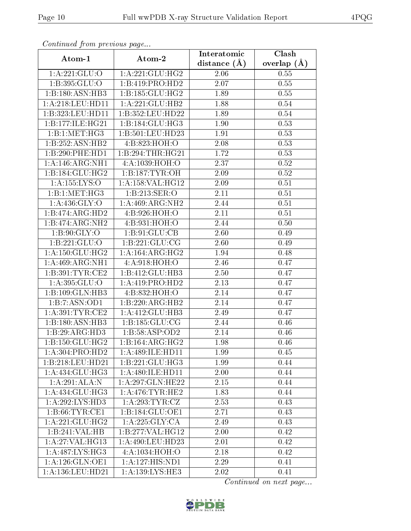| Continuea from previous page |                              | Interatomic    | $\overline{\text{Clash}}$ |
|------------------------------|------------------------------|----------------|---------------------------|
| Atom-1                       | Atom-2                       | distance $(A)$ | overlap $(A)$             |
| 1: A:221: GLU:O              | 1:A:221:GLU:HG2              | 2.06           | 0.55                      |
| 1:B:395:GLU:O                | 1:B:419:PRO:HD2              | 2.07           | 0.55                      |
| 1:B:180:ASN:HB3              | 1:B:185:GLU:HG2              | 1.89           | 0.55                      |
| 1: A:218:LEU:HD11            | 1:A:221:GLU:HB2              | 1.88           | 0.54                      |
| 1:B:323:LEU:HD11             | 1:B:352:LEU:HD22             | 1.89           | 0.54                      |
| 1:B:177:ILE:HG21             | 1:B:184:GLU:HG3              | 1.90           | 0.53                      |
| 1:B:1:MET:HG3                | 1:B:501:LEU:HD23             | 1.91           | 0.53                      |
| 1:B:252:ASN:HB2              | 4:B:823:HOH:O                | 2.08           | 0.53                      |
| 1:B:290:PHE:HD1              | 1:B:294:THR:HG21             | 1.72           | 0.53                      |
| 1: A:146: ARG: NH1           | 4:A:1039:HOH:O               | 2.37           | 0.52                      |
| 1:B:184:GLU:HG2              | 1: B: 187: TYR: OH           | 2.09           | 0.52                      |
| 1:A:155:LYS:O                | 1:A:158:VAL:HG12             | 2.09           | 0.51                      |
| 1:B:1:MET:HG3                | 1:B:213:SER:O                | 2.11           | 0.51                      |
| 1: A:436: GLY:O              | $1:A:469:ARG:\overline{NH2}$ | 2.44           | 0.51                      |
| 1:B:474:ARG:HD2              | 4:B:926:HOH:O                | 2.11           | 0.51                      |
| 1:B:474:ARG:NH2              | 4: B: 931: HOH:O             | 2.44           | 0.50                      |
| 1: B:90: GLY:O               | 1: B: 91: GLU: CB            | 2.60           | 0.49                      |
| 1:B:221:GLU:O                | 1:B:221:GLU:CG               | 2.60           | 0.49                      |
| 1: A: 150: GLU: HG2          | 1: A: 164: ARG: HG2          | 1.94           | 0.48                      |
| 1: A:469: ARG: NH1           | 4:A:918:HOH:O                | 2.46           | 0.47                      |
| 1: B: 391: TYR: CE2          | 1:B:412:GLU:HB3              | 2.50           | 0.47                      |
| 1: A: 395: GLU: O            | 1:A:419:PRO:HD2              | 2.13           | 0.47                      |
| 1:B:109:GLN:HB3              | 4:B:832:HOH:O                | 2.14           | 0.47                      |
| 1:B:7:ASN:OD1                | 1:B:220:ARG:HB2              | 2.14           | 0.47                      |
| 1: A:391:TYR:CE2             | 1:A:412:GLU:HB3              | 2.49           | 0.47                      |
| 1:B:180:ASN:HB3              | 1: B: 185: GLU: CG           | 2.44           | 0.46                      |
| 1:B:29:ARG:HD3               | 1:B:58:ASP:OD2               | 2.14           | 0.46                      |
| 1: B: 150: GLU: HG2          | 1:B:164:ARG:HG2              | 1.98           | 0.46                      |
| 1:A:304:PRO:H <sub>D2</sub>  | 1: A:489: ILE: HDI1          | 1.99           | 0.45                      |
| 1:B:218:LEU:HD21             | 1:B:221:GLU:HG3              | 1.99           | 0.44                      |
| 1:A:434:GLU:HG3              | 1: A:480: ILE: HD11          | 2.00           | 0.44                      |
| 1:A:291:ALA:N                | 1:A:297:GLN:HE22             | 2.15           | 0.44                      |
| 1:A:434:GLU:HG3              | 1: A:476: TYR: HE2           | 1.83           | 0.44                      |
| 1:A:292:LYS:HD3              | 1: A:293:TYR:CZ              | 2.53           | 0.43                      |
| 1: B:66:TYR:CE1              | 1:B:184:GLU:OE1              | 2.71           | 0.43                      |
| 1:A:221:GLU:HG2              | 1: A:225: GLY: CA            | 2.49           | 0.43                      |
| 1:B:241:VAL:HB               | 1: B: 277: VAL:HG12          | 2.00           | 0.42                      |
| 1: A:27: VAL:HG13            | 1:A:490:LEU:HD23             | 2.01           | 0.42                      |
| 1:A:487:LYS:HG3              | 4:A:1034:HOH:O               | 2.18           | 0.42                      |
| 1:A:126:GLN:OE1              | 1:A:127:HIS:ND1              | 2.29           | 0.41                      |
| 1:A:136:LEU:HD21             | 1:A:139:1YS:HE3              | 2.02           | 0.41                      |

Continued from previous page.

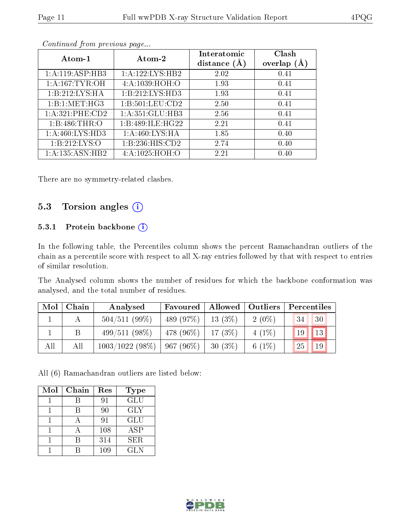| Atom-1            | Atom-2                  | Interatomic<br>distance $(A)$ | Clash<br>overlap $(A)$ |
|-------------------|-------------------------|-------------------------------|------------------------|
| 1:A:119:ASP:HB3   | 1:A:122:LYS:HB2         | 2.02                          | 0.41                   |
| 1: A:167: TYR:OH  | 4: A: 1039: HOH:O       | 1.93                          | 0.41                   |
| 1:B:212:LYS:HA    | 1:B:212:LYS:HD3         | 1.93                          | 0.41                   |
| 1:B:1:MET:HG3     | $1: B: 501:$ LEU: $CD2$ | 2.50                          | 0.41                   |
| 1: A:321: PHE:CD2 | 1: A:351: GLU:HB3       | 2.56                          | 0.41                   |
| 1: B:486: THR:O   | 1:B:489:ILE:HG22        | 2.21                          | 0.41                   |
| 1: A:460: LYS:HD3 | 1: A:460: LYS: HA       | 1.85                          | 0.40                   |
| 1: B: 212: LYS: O | 1: B: 236: HIS: CD2     | 2.74                          | 0.40                   |
| 1:A:135:ASN:HB2   | 4:A:1025:HOH:O          | 2.21                          | 0.40                   |

Continued from previous page...

There are no symmetry-related clashes.

#### 5.3 Torsion angles (i)

#### 5.3.1 Protein backbone (i)

In the following table, the Percentiles column shows the percent Ramachandran outliers of the chain as a percentile score with respect to all X-ray entries followed by that with respect to entries of similar resolution.

The Analysed column shows the number of residues for which the backbone conformation was analysed, and the total number of residues.

| Mol | Chain | Analysed                        | Favoured              | Allowed   Outliers |          | Percentiles |               |  |
|-----|-------|---------------------------------|-----------------------|--------------------|----------|-------------|---------------|--|
|     |       | $504/511(99\%)$                 | 489 (97\%)            | 13(3%)             | $2(0\%)$ | 34          | 30            |  |
|     |       | $499/511(98\%)$                 | $1478(96\%)$ 17 (3\%) |                    | $4(1\%)$ |             | $19$   $13$   |  |
| All | All   | $1003/1022$ (98\%)   967 (96\%) |                       | 30(3%)             | $6(1\%)$ | 25          | <sup>19</sup> |  |

All (6) Ramachandran outliers are listed below:

| Mol | Chain | Res | Type       |
|-----|-------|-----|------------|
|     |       | 91  | <b>GLU</b> |
|     |       | 90  | <b>GLY</b> |
|     |       | 91  | GLU        |
|     |       | 108 | ASP        |
|     |       | 314 | <b>SER</b> |
|     |       | 109 | <b>GLN</b> |

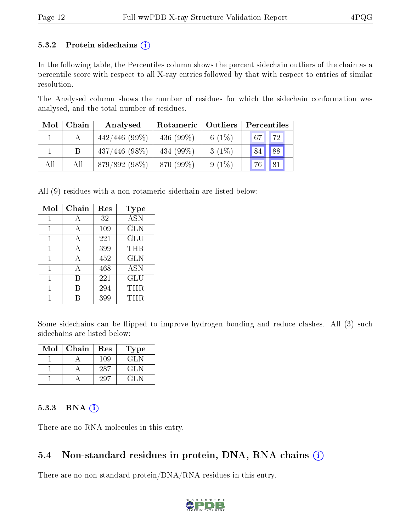#### 5.3.2 Protein sidechains  $(i)$

In the following table, the Percentiles column shows the percent sidechain outliers of the chain as a percentile score with respect to all X-ray entries followed by that with respect to entries of similar resolution.

The Analysed column shows the number of residues for which the sidechain conformation was analysed, and the total number of residues.

| Mol | Chain | Analysed         | Rotameric   Outliers |           | Percentiles |
|-----|-------|------------------|----------------------|-----------|-------------|
|     |       | $442/446$ (99\%) | 436 $(99\%)$         | 6 $(1\%)$ | 72<br>67    |
|     |       | $437/446$ (98\%) | 434 $(99\%)$         | $3(1\%)$  | 88<br>84    |
| All | All   | $879/892(98\%)$  | 870 (99%)            | $9(1\%)$  | 81<br>76    |

All (9) residues with a non-rotameric sidechain are listed below:

| Mol | Chain | Res | Type       |
|-----|-------|-----|------------|
|     | A     | 32  | <b>ASN</b> |
| 1   | A     | 109 | <b>GLN</b> |
| 1   | A     | 221 | GLU        |
| 1   | A     | 399 | THR        |
| 1   | А     | 452 | <b>GLN</b> |
| 1   | А     | 468 | <b>ASN</b> |
|     | B     | 221 | GLU        |
| 1   | R     | 294 | THR        |
|     |       | 399 | THR.       |

Some sidechains can be flipped to improve hydrogen bonding and reduce clashes. All (3) such sidechains are listed below:

| $\operatorname{Mol}$ | Chain | Res  | Type    |
|----------------------|-------|------|---------|
|                      |       | 109  | GLN     |
|                      |       | -287 | GL N    |
|                      |       |      | 7 L L N |

#### $5.3.3$  RNA  $(i)$

There are no RNA molecules in this entry.

### 5.4 Non-standard residues in protein, DNA, RNA chains  $(i)$

There are no non-standard protein/DNA/RNA residues in this entry.

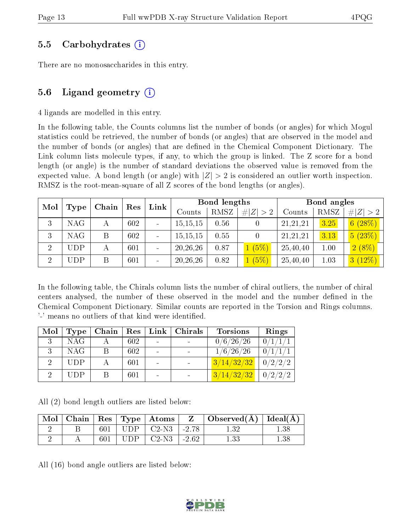#### 5.5 Carbohydrates (i)

There are no monosaccharides in this entry.

### 5.6 Ligand geometry  $(i)$

4 ligands are modelled in this entry.

In the following table, the Counts columns list the number of bonds (or angles) for which Mogul statistics could be retrieved, the number of bonds (or angles) that are observed in the model and the number of bonds (or angles) that are defined in the Chemical Component Dictionary. The Link column lists molecule types, if any, to which the group is linked. The Z score for a bond length (or angle) is the number of standard deviations the observed value is removed from the expected value. A bond length (or angle) with  $|Z| > 2$  is considered an outlier worth inspection. RMSZ is the root-mean-square of all Z scores of the bond lengths (or angles).

| Mol            | Chain<br>Type |   | Res | Link |            | Bond lengths |           | Bond angles |      |             |
|----------------|---------------|---|-----|------|------------|--------------|-----------|-------------|------|-------------|
|                |               |   |     |      | Counts     | RMSZ         | Z >2<br># | Counts      | RMSZ | # $ Z  > 2$ |
| 3              | NAG.          |   | 602 |      | 15, 15, 15 | 0.56         |           | 21,21,21    | 3.25 | 6(28%)      |
| 3              | <b>NAG</b>    | B | 602 |      | 15, 15, 15 | 0.55         |           | 21,21,21    | 3.13 | 5(23%)      |
| $\overline{2}$ | <b>UDP</b>    |   | 601 |      | 20, 26, 26 | 0.87         | (5%)      | 25,40,40    | 1.00 | $2(8\%)$    |
| $\overline{2}$ | UDP           |   | 601 |      | 20, 26, 26 | 0.82         | (5%)      | 25,40,40    | 1.03 | 3(12%)      |

In the following table, the Chirals column lists the number of chiral outliers, the number of chiral centers analysed, the number of these observed in the model and the number defined in the Chemical Component Dictionary. Similar counts are reported in the Torsion and Rings columns. '-' means no outliers of that kind were identified.

| Mol | Type       | Chain | Res | $\mathbf{Link}$ | $\blacksquare$ Chirals | <b>Torsions</b> | Rings   |
|-----|------------|-------|-----|-----------------|------------------------|-----------------|---------|
| 2   | <b>NAG</b> |       | 602 |                 |                        | 0/6/26/26       | 0/1/1/1 |
|     | <b>NAG</b> |       | 602 |                 |                        | 1/6/26/26       | 0/1/1/1 |
|     | <b>UDP</b> |       | 601 |                 |                        | 3/14/32/32      | 0/2/2/2 |
|     | <b>UDP</b> |       | 601 |                 |                        | 3/14/32/32      | 0/2/2/2 |

All (2) bond length outliers are listed below:

| Mol |     |             | $\vert$ Chain $\vert$ Res $\vert$ Type $\vert$ Atoms $\vert$ | $\mathbf{Z}$ | $\vert$ Observed( $\rm \AA$ ) $\vert$ Ideal( $\rm \AA$ ) |  |
|-----|-----|-------------|--------------------------------------------------------------|--------------|----------------------------------------------------------|--|
|     | 601 | <b>IIDP</b> | $\mid$ C <sub>2</sub> -N <sub>3</sub> $\mid$ -2.78           |              |                                                          |  |
|     |     |             | $\degree$ C2-N3 $\degree$                                    | $1 - 2.62$   |                                                          |  |

All (16) bond angle outliers are listed below:

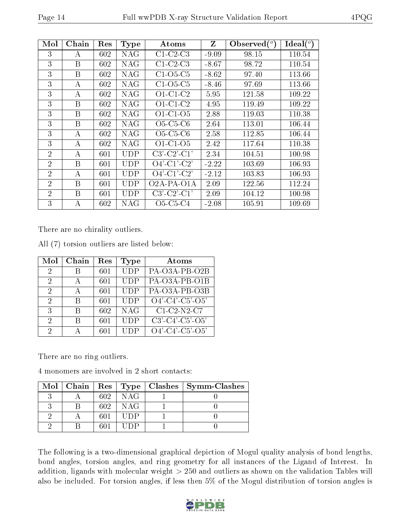| Mol            | Chain | $\operatorname{Res}% \left( \mathcal{N}\right) \equiv\operatorname{Res}(\mathcal{N}_{0})\cap\mathcal{N}_{1}$ | <b>Type</b> | Atoms                                          | Z       | Observed $(^\circ)$ | Ideal $(^\circ)$ |
|----------------|-------|--------------------------------------------------------------------------------------------------------------|-------------|------------------------------------------------|---------|---------------------|------------------|
| 3              | A     | 602                                                                                                          | NAG         | $C1-C2-C3$                                     | $-9.09$ | 98.15               | 110.54           |
| 3              | B     | 602                                                                                                          | NAG         | $C1-C2-C3$                                     | $-8.67$ | 98.72               | 110.54           |
| 3              | B     | 602                                                                                                          | NAG         | $C1-O5-C5$                                     | $-8.62$ | 97.40               | 113.66           |
| 3              | А     | 602                                                                                                          | NAG         | $C1-O5-C5$                                     | $-8.46$ | 97.69               | 113.66           |
| 3              | А     | 602                                                                                                          | NAG         | $O1-C1-C2$                                     | 5.95    | 121.58              | 109.22           |
| 3              | B     | 602                                                                                                          | NAG         | $O1-C1-C2$                                     | 4.95    | 119.49              | 109.22           |
| 3              | B     | 602                                                                                                          | NAG         | $O1-C1-O5$                                     | 2.88    | 119.03              | 110.38           |
| 3              | B     | 602                                                                                                          | <b>NAG</b>  | $O5-C5-C6$                                     | 2.64    | 113.01              | 106.44           |
| 3              | А     | 602                                                                                                          | NAG         | $O5-C5-C6$                                     | 2.58    | 112.85              | 106.44           |
| 3              | A     | 602                                                                                                          | NAG         | $O1-C1-O5$                                     | 2.42    | 117.64              | 110.38           |
| $\overline{2}$ | А     | 601                                                                                                          | UDP         | $C3'-C2'-C1'$                                  | 2.34    | 104.51              | 100.98           |
| $\overline{2}$ | B     | 601                                                                                                          | UDP         | $O4'$ -C1'-C2'                                 | $-2.22$ | 103.69              | 106.93           |
| $\overline{2}$ | А     | 601                                                                                                          | <b>UDP</b>  | $O4'$ -C1'-C2'                                 | $-2.12$ | 103.83              | 106.93           |
| $\overline{2}$ | B     | 601                                                                                                          | <b>UDP</b>  | O <sub>2</sub> A-PA-O <sub>1</sub> A           | 2.09    | 122.56              | 112.24           |
| $\overline{2}$ | Β     | 601                                                                                                          | UDP         | $C3'-C2'-C1'$                                  | 2.09    | 104.12              | 100.98           |
| 3              | А     | 602                                                                                                          | NAG         | O <sub>5</sub> -C <sub>5</sub> -C <sub>4</sub> | $-2.08$ | 105.91              | 109.69           |

There are no chirality outliers.

All (7) torsion outliers are listed below:

| Mol                         | Chain | Res | Type       | Atoms                         |
|-----------------------------|-------|-----|------------|-------------------------------|
| 2                           | В     | 601 | <b>UDP</b> | PA-O3A-PB-O2B                 |
| 2                           |       | 601 | <b>UDP</b> | PA-O3A-PB-O1B                 |
| $\mathcal{D}_{\mathcal{A}}$ | А     | 601 | <b>UDP</b> | PA-O3A-PB-O3B                 |
| 2                           | R     | 601 | <b>UDP</b> | $O4'$ -C4'-C5'-O5'            |
| 3                           | В     | 602 | <b>NAG</b> | $C1-C2-N2-C7$                 |
| 2                           | R     | 601 | <b>UDP</b> | $C3'$ - $C4'$ - $C5'$ - $O5'$ |
| 2                           |       | 601 | UDP        | $O4'$ -C4'-C5'-O5'            |

There are no ring outliers.

4 monomers are involved in 2 short contacts:

|  |      |            | $\text{Mol}$   Chain   Res   Type   Clashes   Symm-Clashes |
|--|------|------------|------------------------------------------------------------|
|  | 602  | <b>NAG</b> |                                                            |
|  | 602. | NAG        |                                                            |
|  | 601  | UDP        |                                                            |
|  |      |            |                                                            |

The following is a two-dimensional graphical depiction of Mogul quality analysis of bond lengths, bond angles, torsion angles, and ring geometry for all instances of the Ligand of Interest. In addition, ligands with molecular weight > 250 and outliers as shown on the validation Tables will also be included. For torsion angles, if less then 5% of the Mogul distribution of torsion angles is

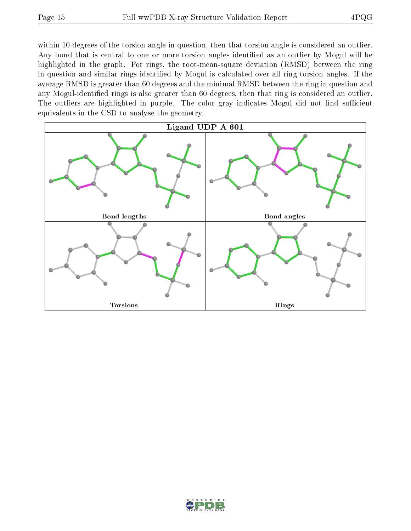within 10 degrees of the torsion angle in question, then that torsion angle is considered an outlier. Any bond that is central to one or more torsion angles identified as an outlier by Mogul will be highlighted in the graph. For rings, the root-mean-square deviation (RMSD) between the ring in question and similar rings identified by Mogul is calculated over all ring torsion angles. If the average RMSD is greater than 60 degrees and the minimal RMSD between the ring in question and any Mogul-identified rings is also greater than 60 degrees, then that ring is considered an outlier. The outliers are highlighted in purple. The color gray indicates Mogul did not find sufficient equivalents in the CSD to analyse the geometry.



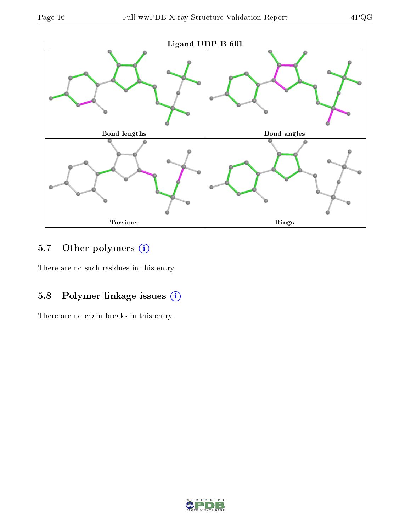

## 5.7 [O](https://www.wwpdb.org/validation/2017/XrayValidationReportHelp#nonstandard_residues_and_ligands)ther polymers (i)

There are no such residues in this entry.

### 5.8 Polymer linkage issues (i)

There are no chain breaks in this entry.

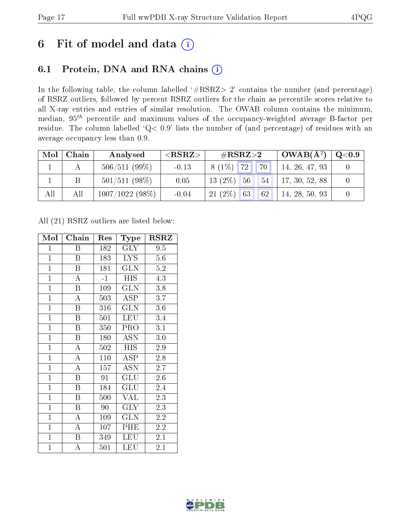## 6 Fit of model and data  $(i)$

### 6.1 Protein, DNA and RNA chains  $(i)$

In the following table, the column labelled  $#RSRZ> 2'$  contains the number (and percentage) of RSRZ outliers, followed by percent RSRZ outliers for the chain as percentile scores relative to all X-ray entries and entries of similar resolution. The OWAB column contains the minimum, median,  $95<sup>th</sup>$  percentile and maximum values of the occupancy-weighted average B-factor per residue. The column labelled ' $Q< 0.9$ ' lists the number of (and percentage) of residues with an average occupancy less than 0.9.

| $\bf{Mol}$ | Chain | Analysed        | ${ <\hspace{-1.5pt}{\mathrm{RSRZ}} \hspace{-1.5pt}>}$ | $\#\text{RSRZ}{>}2$ | $\vert$ OWAB( $A^2$ ) $\vert$ | $\mathrm{Q}{<}0.9$ |
|------------|-------|-----------------|-------------------------------------------------------|---------------------|-------------------------------|--------------------|
|            |       | $506/511(99\%)$ | $-0.13$                                               | $8(1\%)$ 72<br>70   | 14, 26, 47, 93                |                    |
|            |       | $501/511(98\%)$ | 0.05                                                  | $13(2\%)$ 56<br>54  | 17, 30, 52, 88                |                    |
| All        | All   | 1007/1022(98%)  | $-0.04$                                               | $21(2\%)$ 63<br>62  | 14, 28, 50, 93                |                    |

All (21) RSRZ outliers are listed below:

| Mol            | Chain                   | Res         | <b>Type</b>       | <b>RSRZ</b> |
|----------------|-------------------------|-------------|-------------------|-------------|
| $\mathbf{1}$   | Β                       | 182         | $\rm GLY$         | 9.5         |
| $\overline{1}$ | B                       | 183         | LYS.              | 5.6         |
| $\overline{1}$ | $\boldsymbol{B}$        | 181         | <b>GLN</b>        | 5.2         |
| $\overline{1}$ | $\overline{A}$          | $^{\rm -1}$ | <b>HIS</b>        | 4.3         |
| $\overline{1}$ | B                       | 109         | <b>GLN</b>        | 3.8         |
| $\overline{1}$ | $\overline{\rm A}$      | 503         | $\overline{A}$ SP | 3.7         |
| $\mathbf{1}$   | $\boldsymbol{B}$        | 316         | <b>GLN</b>        | $3.6\,$     |
| $\mathbf{1}$   | $\boldsymbol{B}$        | 501         | <b>LEU</b>        | 3.4         |
| $\overline{1}$ | $\overline{B}$          | 350         | PRO               | 3.1         |
| $\mathbf{1}$   | B                       | 180         | <b>ASN</b>        | 3.0         |
| $\overline{1}$ | $\mathbf{A}$            | 502         | <b>HIS</b>        | 2.9         |
| $\overline{1}$ | $\overline{\rm A}$      | 110         | ASP               | 2.8         |
| $\overline{1}$ | $\overline{A}$          | 157         | <b>ASN</b>        | 2.7         |
| $\mathbf{1}$   | B                       | 91          | GLU               | 2.6         |
| $\overline{1}$ | Β                       | 184         | GLU               | 2.4         |
| $\overline{1}$ | B                       | 500         | <b>VAL</b>        | 2.3         |
| $\overline{1}$ | $\overline{\mathrm{B}}$ | 90          | <b>GLY</b>        | 2.3         |
| $\mathbf{1}$   | А                       | 109         | GLN               | 2.2         |
| $\mathbf{1}$   | $\overline{A}$          | 107         | PHE               | 2.2         |
| $\overline{1}$ | $\boldsymbol{B}$        | 349         | <b>LEU</b>        | $2.1\,$     |
| $\mathbf{1}$   | А                       | 501         | LEU               | 2.1         |

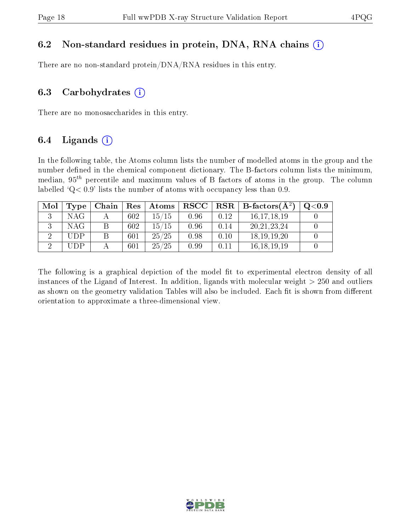#### 6.2 Non-standard residues in protein, DNA, RNA chains  $(i)$

There are no non-standard protein/DNA/RNA residues in this entry.

#### 6.3 Carbohydrates  $(i)$

There are no monosaccharides in this entry.

### 6.4 Ligands  $(i)$

In the following table, the Atoms column lists the number of modelled atoms in the group and the number defined in the chemical component dictionary. The B-factors column lists the minimum, median,  $95<sup>th</sup>$  percentile and maximum values of B factors of atoms in the group. The column labelled  $Q < 0.9$ ' lists the number of atoms with occupancy less than 0.9.

| Mol | Type | Chain | Res | Atoms | $_{\rm RSCC}$ | $\ $ RSR $\ $ | $\perp$ B-factors( $\overline{A^2}$ ) | $\mathrm{Q}{<}0.9$ |
|-----|------|-------|-----|-------|---------------|---------------|---------------------------------------|--------------------|
|     | NAG  |       | 602 | 15/15 | 0.96          | 0.12          | 16, 17, 18, 19                        |                    |
|     | NAG  |       | 602 | 15/15 | 0.96          | 0.14          | 20, 21, 23, 24                        |                    |
|     | UDP  |       | 601 | 25/25 | 0.98          | 0.10          | 18, 19, 19, 20                        |                    |
|     | HDP  |       | 601 | 25/25 | 0.99          | 0.11          | 16, 18, 19, 19                        |                    |

The following is a graphical depiction of the model fit to experimental electron density of all instances of the Ligand of Interest. In addition, ligands with molecular weight  $> 250$  and outliers as shown on the geometry validation Tables will also be included. Each fit is shown from different orientation to approximate a three-dimensional view.

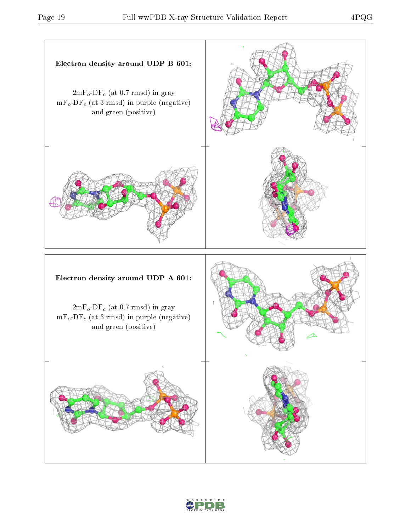